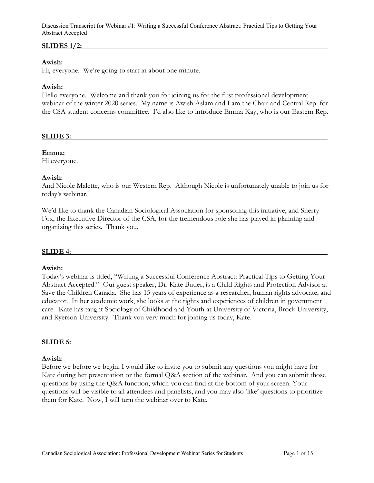## **SLIDES 1/2:**

#### **Awish:**

Hi, everyone. We're going to start in about one minute.

#### **Awish:**

Hello everyone. Welcome and thank you for joining us for the first professional development webinar of the winter 2020 series. My name is Awish Aslam and I am the Chair and Central Rep. for the CSA student concerns committee. I'd also like to introduce Emma Kay, who is our Eastern Rep.

#### **SLIDE 3:**

#### **Emma:**

Hi everyone.

#### **Awish:**

And Nicole Malette, who is our Western Rep. Although Nicole is unfortunately unable to join us for today's webinar.

We'd like to thank the Canadian Sociological Association for sponsoring this initiative, and Sherry Fox, the Executive Director of the CSA, for the tremendous role she has played in planning and organizing this series. Thank you.

#### **SLIDE 4:**

#### **Awish:**

Today's webinar is titled, "Writing a Successful Conference Abstract: Practical Tips to Getting Your Abstract Accepted." Our guest speaker, Dr. Kate Butler, is a Child Rights and Protection Advisor at Save the Children Canada. She has 15 years of experience as a researcher, human rights advocate, and educator. In her academic work, she looks at the rights and experiences of children in government care. Kate has taught Sociology of Childhood and Youth at University of Victoria, Brock University, and Ryerson University. Thank you very much for joining us today, Kate.

#### **SLIDE 5:**

#### **Awish:**

Before we before we begin, I would like to invite you to submit any questions you might have for Kate during her presentation or the formal Q&A section of the webinar. And you can submit those questions by using the Q&A function, which you can find at the bottom of your screen. Your questions will be visible to all attendees and panelists, and you may also 'like' questions to prioritize them for Kate. Now, I will turn the webinar over to Kate.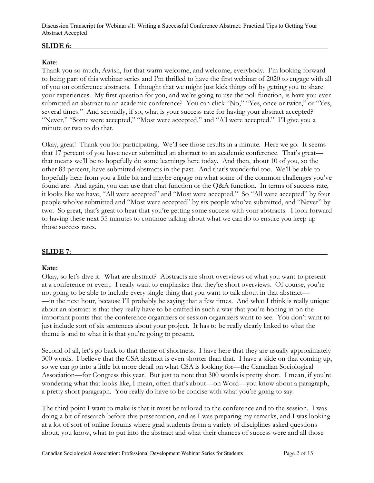# **SLIDE 6:**

# **Kate**:

Thank you so much, Awish, for that warm welcome, and welcome, everybody. I'm looking forward to being part of this webinar series and I'm thrilled to have the first webinar of 2020 to engage with all of you on conference abstracts. I thought that we might just kick things off by getting you to share your experiences. My first question for you, and we're going to use the poll function, is have you ever submitted an abstract to an academic conference? You can click "No," "Yes, once or twice," or "Yes, several times." And secondly, if so, what is your success rate for having your abstract accepted? "Never," "Some were accepted," "Most were accepted," and "All were accepted." I'll give you a minute or two to do that.

Okay, great! Thank you for participating. We'll see those results in a minute. Here we go. It seems that 17 percent of you have never submitted an abstract to an academic conference. That's great that means we'll be to hopefully do some learnings here today. And then, about 10 of you, so the other 83 percent, have submitted abstracts in the past. And that's wonderful too. We'll be able to hopefully hear from you a little bit and maybe engage on what some of the common challenges you've found are. And again, you can use that chat function or the Q&A function. In terms of success rate, it looks like we have, "All were accepted" and "Most were accepted." So "All were accepted" by four people who've submitted and "Most were accepted" by six people who've submitted, and "Never" by two. So great, that's great to hear that you're getting some success with your abstracts. I look forward to having these next 55 minutes to continue talking about what we can do to ensure you keep up those success rates.

## **SLIDE 7:**

## **Kate:**

Okay, so let's dive it. What are abstract? Abstracts are short overviews of what you want to present at a conference or event. I really want to emphasize that they're short overviews. Of course, you're not going to be able to include every single thing that you want to talk about in that abstract— —in the next hour, because I'll probably be saying that a few times. And what I think is really unique about an abstract is that they really have to be crafted in such a way that you're honing in on the important points that the conference organizers or session organizers want to see. You don't want to just include sort of six sentences about your project. It has to be really clearly linked to what the theme is and to what it is that you're going to present.

Second of all, let's go back to that theme of shortness. I have here that they are usually approximately 300 words. I believe that the CSA abstract is even shorter than that. I have a slide on that coming up, so we can go into a little bit more detail on what CSA is looking for—the Canadian Sociological Association—for Congress this year. But just to note that 300 words is pretty short. I mean, if you're wondering what that looks like, I mean, often that's about—on Word—you know about a paragraph, a pretty short paragraph. You really do have to be concise with what you're going to say.

The third point I want to make is that it must be tailored to the conference and to the session. I was doing a bit of research before this presentation, and as I was preparing my remarks, and I was looking at a lot of sort of online forums where grad students from a variety of disciplines asked questions about, you know, what to put into the abstract and what their chances of success were and all those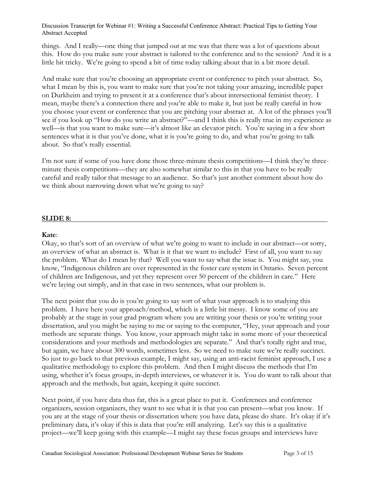things. And I really—one thing that jumped out at me was that there was a lot of questions about this. How do you make sure your abstract is tailored to the conference and to the session? And it is a little bit tricky. We're going to spend a bit of time today talking about that in a bit more detail.

And make sure that you're choosing an appropriate event or conference to pitch your abstract. So, what I mean by this is, you want to make sure that you're not taking your amazing, incredible paper on Durkheim and trying to present it at a conference that's about intersectional feminist theory. I mean, maybe there's a connection there and you're able to make it, but just be really careful in how you choose your event or conference that you are pitching your abstract at. A lot of the phrases you'll see if you look up "How do you write an abstract?"—and I think this is really true in my experience as well—is that you want to make sure—it's almost like an elevator pitch. You're saying in a few short sentences what it is that you've done, what it is you're going to do, and what you're going to talk about. So that's really essential.

I'm not sure if some of you have done those three-minute thesis competitions—I think they're threeminute thesis competitions—they are also somewhat similar to this in that you have to be really careful and really tailor that message to an audience. So that's just another comment about how do we think about narrowing down what we're going to say?

## **SLIDE 8:**

#### **Kate**:

Okay, so that's sort of an overview of what we're going to want to include in our abstract—or sorry, an overview of what an abstract is. What is it that we want to include? First of all, you want to say the problem. What do I mean by that? Well you want to say what the issue is. You might say, you know, "Indigenous children are over represented in the foster care system in Ontario. Seven percent of children are Indigenous, and yet they represent over 50 percent of the children in care." Here we're laying out simply, and in that case in two sentences, what our problem is.

The next point that you do is you're going to say sort of what your approach is to studying this problem. I have here your approach/method, which is a little bit messy. I know some of you are probably at the stage in your grad program where you are writing your thesis or you're writing your dissertation, and you might be saying to me or saying to the computer, "Hey, your approach and your methods are separate things. You know, your approach might take in some more of your theoretical considerations and your methods and methodologies are separate." And that's totally right and true, but again, we have about 300 words, sometimes less. So we need to make sure we're really succinct. So just to go back to that previous example, I might say, using an anti-racist feminist approach, I use a qualitative methodology to explore this problem. And then I might discuss the methods that I'm using, whether it's focus groups, in-depth interviews, or whatever it is. You do want to talk about that approach and the methods, but again, keeping it quite succinct.

Next point, if you have data thus far, this is a great place to put it. Conferences and conference organizers, session organizers, they want to see what it is that you can present—what you know. If you are at the stage of your thesis or dissertation where you have data, please do share. It's okay if it's preliminary data, it's okay if this is data that you're still analyzing. Let's say this is a qualitative project—we'll keep going with this example—I might say these focus groups and interviews have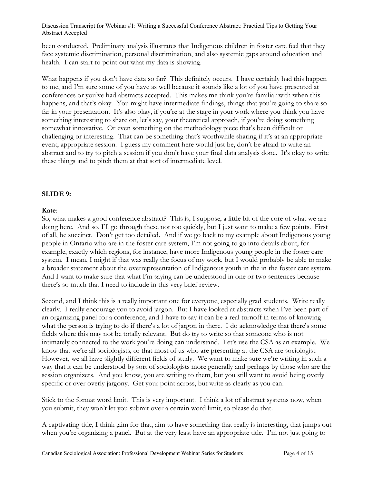been conducted. Preliminary analysis illustrates that Indigenous children in foster care feel that they face systemic discrimination, personal discrimination, and also systemic gaps around education and health. I can start to point out what my data is showing.

What happens if you don't have data so far? This definitely occurs. I have certainly had this happen to me, and I'm sure some of you have as well because it sounds like a lot of you have presented at conferences or you've had abstracts accepted. This makes me think you're familiar with when this happens, and that's okay. You might have intermediate findings, things that you're going to share so far in your presentation. It's also okay, if you're at the stage in your work where you think you have something interesting to share on, let's say, your theoretical approach, if you're doing something somewhat innovative. Or even something on the methodology piece that's been difficult or challenging or interesting. That can be something that's worthwhile sharing if it's at an appropriate event, appropriate session. I guess my comment here would just be, don't be afraid to write an abstract and to try to pitch a session if you don't have your final data analysis done. It's okay to write these things and to pitch them at that sort of intermediate level.

#### **SLIDE 9:**

#### **Kate**:

So, what makes a good conference abstract? This is, I suppose, a little bit of the core of what we are doing here. And so, I'll go through these not too quickly, but I just want to make a few points. First of all, be succinct. Don't get too detailed. And if we go back to my example about Indigenous young people in Ontario who are in the foster care system, I'm not going to go into details about, for example, exactly which regions, for instance, have more Indigenous young people in the foster care system. I mean, I might if that was really the focus of my work, but I would probably be able to make a broader statement about the overrepresentation of Indigenous youth in the in the foster care system. And I want to make sure that what I'm saying can be understood in one or two sentences because there's so much that I need to include in this very brief review.

Second, and I think this is a really important one for everyone, especially grad students. Write really clearly. I really encourage you to avoid jargon. But I have looked at abstracts when I've been part of an organizing panel for a conference, and I have to say it can be a real turnoff in terms of knowing what the person is trying to do if there's a lot of jargon in there. I do acknowledge that there's some fields where this may not be totally relevant. But do try to write so that someone who is not intimately connected to the work you're doing can understand. Let's use the CSA as an example. We know that we're all sociologists, or that most of us who are presenting at the CSA are sociologist. However, we all have slightly different fields of study. We want to make sure we're writing in such a way that it can be understood by sort of sociologists more generally and perhaps by those who are the session organizers. And you know, you are writing to them, but you still want to avoid being overly specific or over overly jargony. Get your point across, but write as clearly as you can.

Stick to the format word limit. This is very important. I think a lot of abstract systems now, when you submit, they won't let you submit over a certain word limit, so please do that.

A captivating title, I think ,aim for that, aim to have something that really is interesting, that jumps out when you're organizing a panel. But at the very least have an appropriate title. I'm not just going to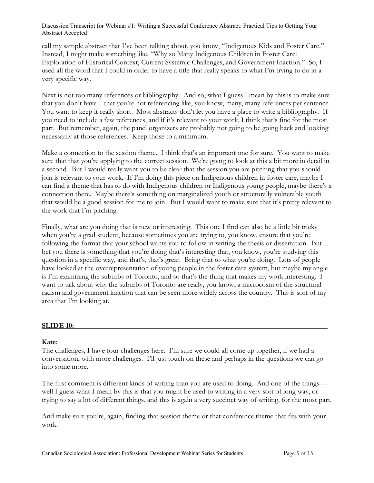call my sample abstract that I've been talking about, you know, "Indigenous Kids and Foster Care." Instead, I might make something like, "Why so Many Indigenous Children in Foster Care: Exploration of Historical Context, Current Systemic Challenges, and Government Inaction." So, I used all the word that I could in order to have a title that really speaks to what I'm trying to do in a very specific way.

Next is not too many references or bibliography. And so, what I guess I mean by this is to make sure that you don't have—that you're not referencing like, you know, many, many references per sentence. You want to keep it really short. Most abstracts don't let you have a place to write a bibliography. If you need to include a few references, and if it's relevant to your work, I think that's fine for the most part. But remember, again, the panel organizers are probably not going to be going back and looking necessarily at those references. Keep those to a minimum.

Make a connection to the session theme. I think that's an important one for sure. You want to make sure that that you're applying to the correct session. We're going to look at this a bit more in detail in a second. But I would really want you to be clear that the session you are pitching that you should join is relevant to your work. If I'm doing this piece on Indigenous children in foster care, maybe I can find a theme that has to do with Indigenous children or Indigenous young people, maybe there's a connection there. Maybe there's something on marginalized youth or structurally vulnerable youth that would be a good session for me to join. But I would want to make sure that it's pretty relevant to the work that I'm pitching.

Finally, what are you doing that is new or interesting. This one I find can also be a little bit tricky when you're a grad student, because sometimes you are trying to, you know, ensure that you're following the format that your school wants you to follow in writing the thesis or dissertation. But I bet you there is something that you're doing that's interesting that, you know, you're studying this question in a specific way, and that's, that's great. Bring that to what you're doing. Lots of people have looked at the overrepresentation of young people in the foster care system, but maybe my angle is I'm examining the suburbs of Toronto, and so that's the thing that makes my work interesting. I want to talk about why the suburbs of Toronto are really, you know, a microcosm of the structural racism and government inaction that can be seen more widely across the country. This is sort of my area that I'm looking at.

#### **SLIDE 10:**

## **Kate:**

The challenges, I have four challenges here. I'm sure we could all come up together, if we had a conversation, with more challenges. I'll just touch on these and perhaps in the questions we can go into some more.

The first comment is different kinds of writing than you are used to doing. And one of the things well I guess what I mean by this is that you might be used to writing in a very sort of long way, or trying to say a lot of different things, and this is again a very succinct way of writing, for the most part.

And make sure you're, again, finding that session theme or that conference theme that fits with your work.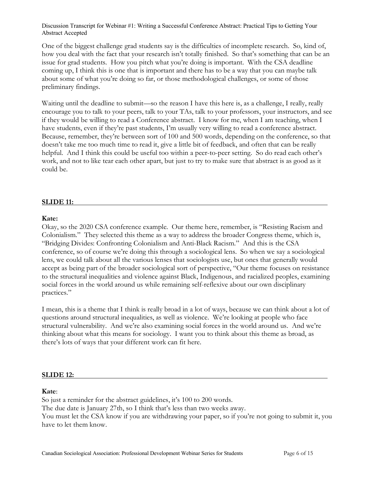One of the biggest challenge grad students say is the difficulties of incomplete research. So, kind of, how you deal with the fact that your research isn't totally finished. So that's something that can be an issue for grad students. How you pitch what you're doing is important. With the CSA deadline coming up, I think this is one that is important and there has to be a way that you can maybe talk about some of what you're doing so far, or those methodological challenges, or some of those preliminary findings.

Waiting until the deadline to submit—so the reason I have this here is, as a challenge, I really, really encourage you to talk to your peers, talk to your TAs, talk to your professors, your instructors, and see if they would be willing to read a Conference abstract. I know for me, when I am teaching, when I have students, even if they're past students, I'm usually very willing to read a conference abstract. Because, remember, they're between sort of 100 and 500 words, depending on the conference, so that doesn't take me too much time to read it, give a little bit of feedback, and often that can be really helpful. And I think this could be useful too within a peer-to-peer setting. So do read each other's work, and not to like tear each other apart, but just to try to make sure that abstract is as good as it could be.

#### **SLIDE 11:**

#### **Kate:**

Okay, so the 2020 CSA conference example. Our theme here, remember, is "Resisting Racism and Colonialism." They selected this theme as a way to address the broader Congress theme, which is, "Bridging Divides: Confronting Colonialism and Anti-Black Racism." And this is the CSA conference, so of course we're doing this through a sociological lens. So when we say a sociological lens, we could talk about all the various lenses that sociologists use, but ones that generally would accept as being part of the broader sociological sort of perspective, "Our theme focuses on resistance to the structural inequalities and violence against Black, Indigenous, and racialized peoples, examining social forces in the world around us while remaining self-reflexive about our own disciplinary practices."

I mean, this is a theme that I think is really broad in a lot of ways, because we can think about a lot of questions around structural inequalities, as well as violence. We're looking at people who face structural vulnerability. And we're also examining social forces in the world around us. And we're thinking about what this means for sociology. I want you to think about this theme as broad, as there's lots of ways that your different work can fit here.

#### **SLIDE 12:**

#### **Kate**:

So just a reminder for the abstract guidelines, it's 100 to 200 words.

The due date is January 27th, so I think that's less than two weeks away.

You must let the CSA know if you are withdrawing your paper, so if you're not going to submit it, you have to let them know.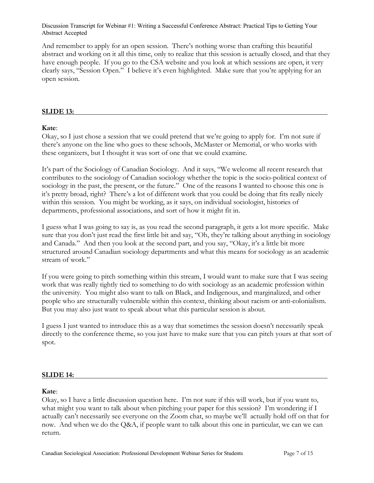And remember to apply for an open session. There's nothing worse than crafting this beautiful abstract and working on it all this time, only to realize that this session is actually closed, and that they have enough people. If you go to the CSA website and you look at which sessions are open, it very clearly says, "Session Open." I believe it's even highlighted. Make sure that you're applying for an open session.

#### **SLIDE 13:**

#### **Kate**:

Okay, so I just chose a session that we could pretend that we're going to apply for. I'm not sure if there's anyone on the line who goes to these schools, McMaster or Memorial, or who works with these organizers, but I thought it was sort of one that we could examine.

It's part of the Sociology of Canadian Sociology. And it says, "We welcome all recent research that contributes to the sociology of Canadian sociology whether the topic is the socio-political context of sociology in the past, the present, or the future." One of the reasons I wanted to choose this one is it's pretty broad, right? There's a lot of different work that you could be doing that fits really nicely within this session. You might be working, as it says, on individual sociologist, histories of departments, professional associations, and sort of how it might fit in.

I guess what I was going to say is, as you read the second paragraph, it gets a lot more specific. Make sure that you don't just read the first little bit and say, "Oh, they're talking about anything in sociology and Canada." And then you look at the second part, and you say, "Okay, it's a little bit more structured around Canadian sociology departments and what this means for sociology as an academic stream of work."

If you were going to pitch something within this stream, I would want to make sure that I was seeing work that was really tightly tied to something to do with sociology as an academic profession within the university. You might also want to talk on Black, and Indigenous, and marginalized, and other people who are structurally vulnerable within this context, thinking about racism or anti-colonialism. But you may also just want to speak about what this particular session is about.

I guess I just wanted to introduce this as a way that sometimes the session doesn't necessarily speak directly to the conference theme, so you just have to make sure that you can pitch yours at that sort of spot.

#### **SLIDE 14:**

## **Kate**:

Okay, so I have a little discussion question here. I'm not sure if this will work, but if you want to, what might you want to talk about when pitching your paper for this session? I'm wondering if I actually can't necessarily see everyone on the Zoom chat, so maybe we'll actually hold off on that for now. And when we do the Q&A, if people want to talk about this one in particular, we can we can return.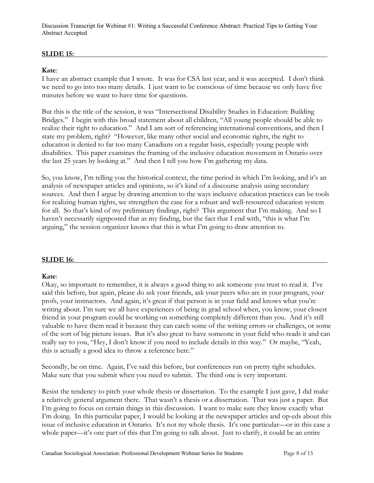# **SLIDE 15:**

# **Kate**:

I have an abstract example that I wrote. It was for CSA last year, and it was accepted. I don't think we need to go into too many details. I just want to be conscious of time because we only have five minutes before we want to have time for questions.

But this is the title of the session, it was "Intersectional Disability Studies in Education: Building Bridges." I begin with this broad statement about all children, "All young people should be able to realize their right to education." And I am sort of referencing international conventions, and then I state my problem, right? "However, like many other social and economic rights, the right to education is denied to far too many Canadians on a regular basis, especially young people with disabilities. This paper examines the framing of the inclusive education movement in Ontario over the last 25 years by looking at." And then I tell you how I'm gathering my data.

So, you know, I'm telling you the historical context, the time period in which I'm looking, and it's an analysis of newspaper articles and opinions, so it's kind of a discourse analysis using secondary sources. And then I argue by drawing attention to the ways inclusive education practices can be tools for realizing human rights, we strengthen the case for a robust and well-resourced education system for all. So that's kind of my preliminary findings, right? This argument that I'm making. And so I haven't necessarily signposted that as my finding, but the fact that I end with, "this is what I'm arguing," the session organizer knows that this is what I'm going to draw attention to.

## **SLIDE 16:**

## **Kate**:

Okay, so important to remember, it is always a good thing to ask someone you trust to read it. I've said this before, but again, please do ask your friends, ask your peers who are in your program, your profs, your instructors. And again, it's great if that person is in your field and knows what you're writing about. I'm sure we all have experiences of being in grad school when, you know, your closest friend in your program could be working on something completely different than you. And it's still valuable to have them read it because they can catch some of the writing errors or challenges, or some of the sort of big picture issues. But it's also great to have someone in your field who reads it and can really say to you, "Hey, I don't know if you need to include details in this way." Or maybe, "Yeah, this is actually a good idea to throw a reference here."

Secondly, be on time. Again, I've said this before, but conferences run on pretty tight schedules. Make sure that you submit when you need to submit. The third one is very important.

Resist the tendency to pitch your whole thesis or dissertation. To the example I just gave, I did make a relatively general argument there. That wasn't a thesis or a dissertation. That was just a paper. But I'm going to focus on certain things in this discussion. I want to make sure they know exactly what I'm doing. In this particular paper, I would be looking at the newspaper articles and op-eds about this issue of inclusive education in Ontario. It's not my whole thesis. It's one particular—or in this case a whole paper—it's one part of this that I'm going to talk about. Just to clarify, it could be an entire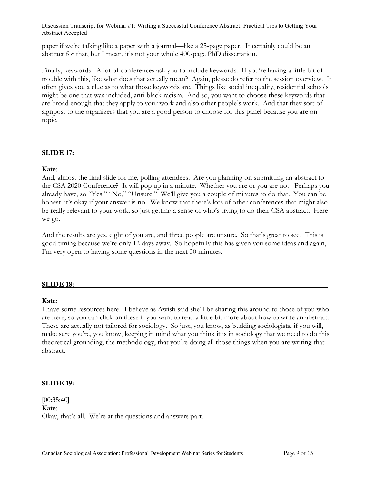paper if we're talking like a paper with a journal—like a 25-page paper. It certainly could be an abstract for that, but I mean, it's not your whole 400-page PhD dissertation.

Finally, keywords. A lot of conferences ask you to include keywords. If you're having a little bit of trouble with this, like what does that actually mean? Again, please do refer to the session overview. It often gives you a clue as to what those keywords are. Things like social inequality, residential schools might be one that was included, anti-black racism. And so, you want to choose these keywords that are broad enough that they apply to your work and also other people's work. And that they sort of signpost to the organizers that you are a good person to choose for this panel because you are on topic.

## **SLIDE 17:**

#### **Kate**:

And, almost the final slide for me, polling attendees. Are you planning on submitting an abstract to the CSA 2020 Conference? It will pop up in a minute. Whether you are or you are not. Perhaps you already have, so "Yes," "No," "Unsure." We'll give you a couple of minutes to do that. You can be honest, it's okay if your answer is no. We know that there's lots of other conferences that might also be really relevant to your work, so just getting a sense of who's trying to do their CSA abstract. Here we go.

And the results are yes, eight of you are, and three people are unsure. So that's great to see. This is good timing because we're only 12 days away. So hopefully this has given you some ideas and again, I'm very open to having some questions in the next 30 minutes.

## **SLIDE 18:**

#### **Kate**:

I have some resources here. I believe as Awish said she'll be sharing this around to those of you who are here, so you can click on these if you want to read a little bit more about how to write an abstract. These are actually not tailored for sociology. So just, you know, as budding sociologists, if you will, make sure you're, you know, keeping in mind what you think it is in sociology that we need to do this theoretical grounding, the methodology, that you're doing all those things when you are writing that abstract.

#### **SLIDE 19:**

[00:35:40] **Kate**: Okay, that's all. We're at the questions and answers part.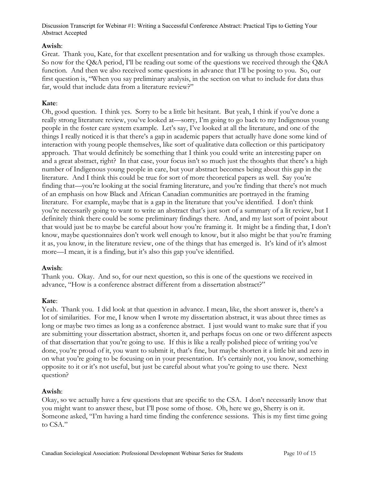## **Awish**:

Great. Thank you, Kate, for that excellent presentation and for walking us through those examples. So now for the Q&A period, I'll be reading out some of the questions we received through the Q&A function. And then we also received some questions in advance that I'll be posing to you. So, our first question is, "When you say preliminary analysis, in the section on what to include for data thus far, would that include data from a literature review?"

# **Kate**:

Oh, good question. I think yes. Sorry to be a little bit hesitant. But yeah, I think if you've done a really strong literature review, you've looked at—sorry, I'm going to go back to my Indigenous young people in the foster care system example. Let's say, I've looked at all the literature, and one of the things I really noticed it is that there's a gap in academic papers that actually have done some kind of interaction with young people themselves, like sort of qualitative data collection or this participatory approach. That would definitely be something that I think you could write an interesting paper on and a great abstract, right? In that case, your focus isn't so much just the thoughts that there's a high number of Indigenous young people in care, but your abstract becomes being about this gap in the literature. And I think this could be true for sort of more theoretical papers as well. Say you're finding that—you're looking at the social framing literature, and you're finding that there's not much of an emphasis on how Black and African Canadian communities are portrayed in the framing literature. For example, maybe that is a gap in the literature that you've identified. I don't think you're necessarily going to want to write an abstract that's just sort of a summary of a lit review, but I definitely think there could be some preliminary findings there. And, and my last sort of point about that would just be to maybe be careful about how you're framing it. It might be a finding that, I don't know, maybe questionnaires don't work well enough to know, but it also might be that you're framing it as, you know, in the literature review, one of the things that has emerged is. It's kind of it's almost more—I mean, it is a finding, but it's also this gap you've identified.

## **Awish**:

Thank you. Okay. And so, for our next question, so this is one of the questions we received in advance, "How is a conference abstract different from a dissertation abstract?"

## **Kate**:

Yeah. Thank you. I did look at that question in advance. I mean, like, the short answer is, there's a lot of similarities. For me, I know when I wrote my dissertation abstract, it was about three times as long or maybe two times as long as a conference abstract. I just would want to make sure that if you are submitting your dissertation abstract, shorten it, and perhaps focus on one or two different aspects of that dissertation that you're going to use. If this is like a really polished piece of writing you've done, you're proud of it, you want to submit it, that's fine, but maybe shorten it a little bit and zero in on what you're going to be focusing on in your presentation. It's certainly not, you know, something opposite to it or it's not useful, but just be careful about what you're going to use there. Next question?

# **Awish**:

Okay, so we actually have a few questions that are specific to the CSA. I don't necessarily know that you might want to answer these, but I'll pose some of those. Oh, here we go, Sherry is on it. Someone asked, "I'm having a hard time finding the conference sessions. This is my first time going to CSA."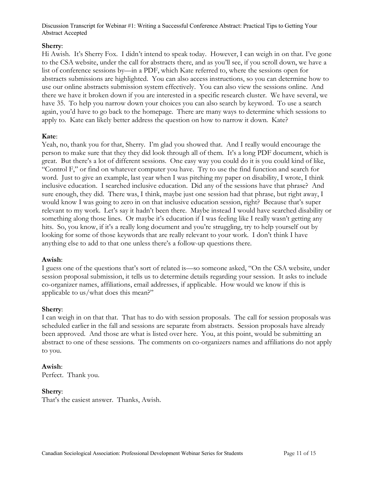## **Sherry**:

Hi Awish. It's Sherry Fox. I didn't intend to speak today. However, I can weigh in on that. I've gone to the CSA website, under the call for abstracts there, and as you'll see, if you scroll down, we have a list of conference sessions by—in a PDF, which Kate referred to, where the sessions open for abstracts submissions are highlighted. You can also access instructions, so you can determine how to use our online abstracts submission system effectively. You can also view the sessions online. And there we have it broken down if you are interested in a specific research cluster. We have several, we have 35. To help you narrow down your choices you can also search by keyword. To use a search again, you'd have to go back to the homepage. There are many ways to determine which sessions to apply to. Kate can likely better address the question on how to narrow it down. Kate?

## **Kate**:

Yeah, no, thank you for that, Sherry. I'm glad you showed that. And I really would encourage the person to make sure that they they did look through all of them. It's a long PDF document, which is great. But there's a lot of different sessions. One easy way you could do it is you could kind of like, "Control F," or find on whatever computer you have. Try to use the find function and search for word. Just to give an example, last year when I was pitching my paper on disability, I wrote, I think inclusive education. I searched inclusive education. Did any of the sessions have that phrase? And sure enough, they did. There was, I think, maybe just one session had that phrase, but right away, I would know I was going to zero in on that inclusive education session, right? Because that's super relevant to my work. Let's say it hadn't been there. Maybe instead I would have searched disability or something along those lines. Or maybe it's education if I was feeling like I really wasn't getting any hits. So, you know, if it's a really long document and you're struggling, try to help yourself out by looking for some of those keywords that are really relevant to your work. I don't think I have anything else to add to that one unless there's a follow-up questions there.

## **Awish**:

I guess one of the questions that's sort of related is—so someone asked, "On the CSA website, under session proposal submission, it tells us to determine details regarding your session. It asks to include co-organizer names, affiliations, email addresses, if applicable. How would we know if this is applicable to us/what does this mean?"

## **Sherry**:

I can weigh in on that that. That has to do with session proposals. The call for session proposals was scheduled earlier in the fall and sessions are separate from abstracts. Session proposals have already been approved. And those are what is listed over here. You, at this point, would be submitting an abstract to one of these sessions. The comments on co-organizers names and affiliations do not apply to you.

## **Awish**:

Perfect. Thank you.

## **Sherry**:

That's the easiest answer. Thanks, Awish.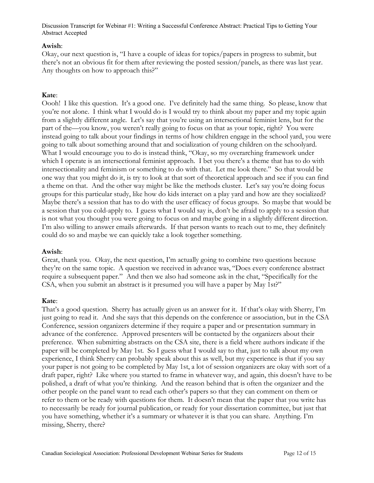## **Awish**:

Okay, our next question is, "I have a couple of ideas for topics/papers in progress to submit, but there's not an obvious fit for them after reviewing the posted session/panels, as there was last year. Any thoughts on how to approach this?"

## **Kate**:

Oooh! I like this question. It's a good one. I've definitely had the same thing. So please, know that you're not alone. I think what I would do is I would try to think about my paper and my topic again from a slightly different angle. Let's say that you're using an intersectional feminist lens, but for the part of the—you know, you weren't really going to focus on that as your topic, right? You were instead going to talk about your findings in terms of how children engage in the school yard, you were going to talk about something around that and socialization of young children on the schoolyard. What I would encourage you to do is instead think, "Okay, so my overarching framework under which I operate is an intersectional feminist approach. I bet you there's a theme that has to do with intersectionality and feminism or something to do with that. Let me look there." So that would be one way that you might do it, is try to look at that sort of theoretical approach and see if you can find a theme on that. And the other way might be like the methods cluster. Let's say you're doing focus groups for this particular study, like how do kids interact on a play yard and how are they socialized? Maybe there's a session that has to do with the user efficacy of focus groups. So maybe that would be a session that you cold-apply to. I guess what I would say is, don't be afraid to apply to a session that is not what you thought you were going to focus on and maybe going in a slightly different direction. I'm also willing to answer emails afterwards. If that person wants to reach out to me, they definitely could do so and maybe we can quickly take a look together something.

## **Awish**:

Great, thank you. Okay, the next question, I'm actually going to combine two questions because they're on the same topic. A question we received in advance was, "Does every conference abstract require a subsequent paper." And then we also had someone ask in the chat, "Specifically for the CSA, when you submit an abstract is it presumed you will have a paper by May 1st?"

#### **Kate**:

That's a good question. Sherry has actually given us an answer for it. If that's okay with Sherry, I'm just going to read it. And she says that this depends on the conference or association, but in the CSA Conference, session organizers determine if they require a paper and or presentation summary in advance of the conference. Approved presenters will be contacted by the organizers about their preference. When submitting abstracts on the CSA site, there is a field where authors indicate if the paper will be completed by May 1st. So I guess what I would say to that, just to talk about my own experience, I think Sherry can probably speak about this as well, but my experience is that if you say your paper is not going to be completed by May 1st, a lot of session organizers are okay with sort of a draft paper, right? Like where you started to frame in whatever way, and again, this doesn't have to be polished, a draft of what you're thinking. And the reason behind that is often the organizer and the other people on the panel want to read each other's papers so that they can comment on them or refer to them or be ready with questions for them. It doesn't mean that the paper that you write has to necessarily be ready for journal publication, or ready for your dissertation committee, but just that you have something, whether it's a summary or whatever it is that you can share. Anything. I'm missing, Sherry, there?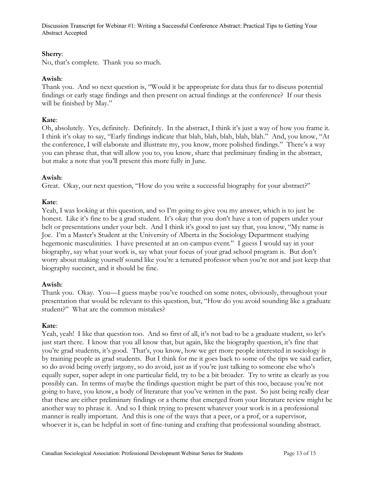#### **Sherry**:

No, that's complete. Thank you so much.

## **Awish**:

Thank you. And so next question is, "Would it be appropriate for data thus far to discuss potential findings or early stage findings and then present on actual findings at the conference? If our thesis will be finished by May."

## **Kate**:

Oh, absolutely. Yes, definitely. Definitely. In the abstract, I think it's just a way of how you frame it. I think it's okay to say, "Early findings indicate that blah, blah, blah, blah, blah." And, you know, "At the conference, I will elaborate and illustrate my, you know, more polished findings." There's a way you can phrase that, that will allow you to, you know, share that preliminary finding in the abstract, but make a note that you'll present this more fully in June.

## **Awish**:

Great. Okay, our next question, "How do you write a successful biography for your abstract?"

## **Kate**:

Yeah, I was looking at this question, and so I'm going to give you my answer, which is to just be honest. Like it's fine to be a grad student. It's okay that you don't have a ton of papers under your belt or presentations under your belt. And I think it's good to just say that, you know, "My name is Joe. I'm a Master's Student at the University of Alberta in the Sociology Department studying hegemonic masculinities. I have presented at an on-campus event." I guess I would say in your biography, say what your work is, say what your focus of your grad school program is. But don't worry about making yourself sound like you're a tenured professor when you're not and just keep that biography succinct, and it should be fine.

## **Awish**:

Thank you. Okay. You—I guess maybe you've touched on some notes, obviously, throughout your presentation that would be relevant to this question, but, "How do you avoid sounding like a graduate student?" What are the common mistakes?

## **Kate**:

Yeah, yeah! I like that question too. And so first of all, it's not bad to be a graduate student, so let's just start there. I know that you all know that, but again, like the biography question, it's fine that you're grad students, it's good. That's, you know, how we get more people interested in sociology is by training people as grad students. But I think for me it goes back to some of the tips we said earlier, so do avoid being overly jargony, so do avoid, just as if you're just talking to someone else who's equally super, super adept in one particular field, try to be a bit broader. Try to write as clearly as you possibly can. In terms of maybe the findings question might be part of this too, because you're not going to have, you know, a body of literature that you've written in the past. So just being really clear that these are either preliminary findings or a theme that emerged from your literature review might be another way to phrase it. And so I think trying to present whatever your work is in a professional manner is really important. And this is one of the ways that a peer, or a prof, or a supervisor, whoever it is, can be helpful in sort of fine-tuning and crafting that professional sounding abstract.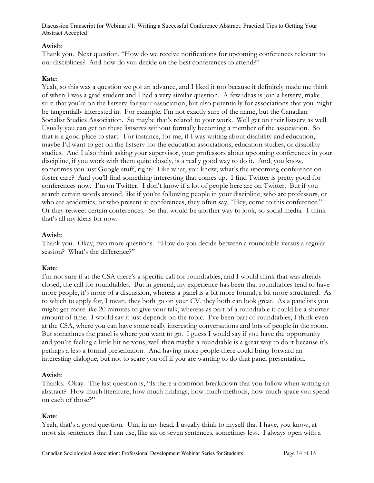# **Awish**:

Thank you. Next question, "How do we receive notifications for upcoming conferences relevant to our disciplines? And how do you decide on the best conferences to attend?"

# **Kate**:

Yeah, so this was a question we got an advance, and I liked it too because it definitely made me think of when I was a grad student and I had a very similar question. A few ideas is join a listserv, make sure that you're on the listserv for your association, but also potentially for associations that you might be tangentially interested in. For example, I'm not exactly sure of the name, but the Canadian Socialist Studies Association. So maybe that's related to your work. Well get on their listserv as well. Usually you can get on these listservs without formally becoming a member of the association. So that is a good place to start. For instance, for me, if I was writing about disability and education, maybe I'd want to get on the listserv for the education associations, education studies, or disability studies. And I also think asking your supervisor, your professors about upcoming conferences in your discipline, if you work with them quite closely, is a really good way to do it. And, you know, sometimes you just Google stuff, right? Like what, you know, what's the upcoming conference on foster care? And you'll find something interesting that comes up. I find Twitter is pretty good for conferences now. I'm on Twitter. I don't know if a lot of people here are on Twitter. But if you search certain words around, like if you're following people in your discipline, who are professors, or who are academics, or who present at conferences, they often say, "Hey, come to this conference." Or they retweet certain conferences. So that would be another way to look, so social media. I think that's all my ideas for now.

## **Awish**:

Thank you. Okay, two more questions. "How do you decide between a roundtable versus a regular session? What's the difference?"

## **Kate**:

I'm not sure if at the CSA there's a specific call for roundtables, and I would think that was already closed, the call for roundtables. But in general, my experience has been that roundtables tend to have more people, it's more of a discussion, whereas a panel is a bit more formal, a bit more structured. As to which to apply for, I mean, they both go on your CV, they both can look great. As a panelists you might get more like 20 minutes to give your talk, whereas as part of a roundtable it could be a shorter amount of time. I would say it just depends on the topic. I've been part of roundtables, I think even at the CSA, where you can have some really interesting conversations and lots of people in the room. But sometimes the panel is where you want to go. I guess I would say if you have the opportunity and you're feeling a little bit nervous, well then maybe a roundtable is a great way to do it because it's perhaps a less a formal presentation. And having more people there could bring forward an interesting dialogue, but not to scare you off if you are wanting to do that panel presentation.

## **Awish**:

Thanks. Okay. The last question is, "Is there a common breakdown that you follow when writing an abstract? How much literature, how much findings, how much methods, how much space you spend on each of those?"

# **Kate**:

Yeah, that's a good question. Um, in my head, I usually think to myself that I have, you know, at most six sentences that I can use, like six or seven sentences, sometimes less. I always open with a